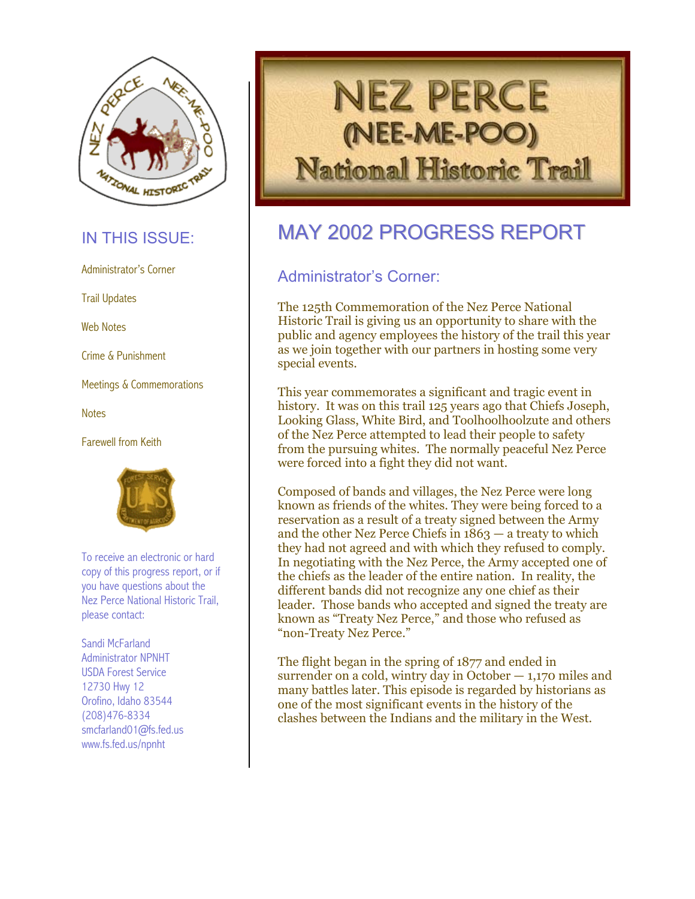

Web Notes

Crime & Punishment

**Notes** 

Farewell from Keith



To receive an electronic or hard copy of this progress report, or if you have questions about the Nez Perce National Historic Trail, please contact:

Sandi McFarland<br>Administrator NPNHT USDA Forest Service 12730 Hwy 12 Orofino, Idaho 83544 (208)476-8334 smcfarland01@fs.fed.us www.fs.fed.us/npnht



# IN THIS ISSUE: MAY 2002 PROGRESS REPORT

# Administrator's Corner **Administrator's Corner:**

Trail Updates Trail Updates The 125th Commemoration of the Nez Perce National Historic Trail is giving us an opportunity to share with the public and agency employees the history of the trail this year as we join together with our partners in hosting some very special events.

Meetings & Commemorations<br>This year commemorates a significant and tragic event in history. It was on this trail 125 years ago that Chiefs Joseph, Looking Glass, White Bird, and Toolhoolhoolzute and others of the Nez Perce attempted to lead their people to safety from the pursuing whites. The normally peaceful Nez Perce were forced into a fight they did not want.

> Composed of bands and villages, the Nez Perce were long known as friends of the whites. They were being forced to a reservation as a result of a treaty signed between the Army and the other Nez Perce Chiefs in  $1863 - a$  treaty to which they had not agreed and with which they refused to comply. In negotiating with the Nez Perce, the Army accepted one of the chiefs as the leader of the entire nation. In reality, the different bands did not recognize any one chief as their leader. Those bands who accepted and signed the treaty are known as "Treaty Nez Perce," and those who refused as "non-Treaty Nez Perce."

The flight began in the spring of 1877 and ended in surrender on a cold, wintry day in October  $-1,170$  miles and many battles later. This episode is regarded by historians as one of the most significant events in the history of the clashes between the Indians and the military in the West.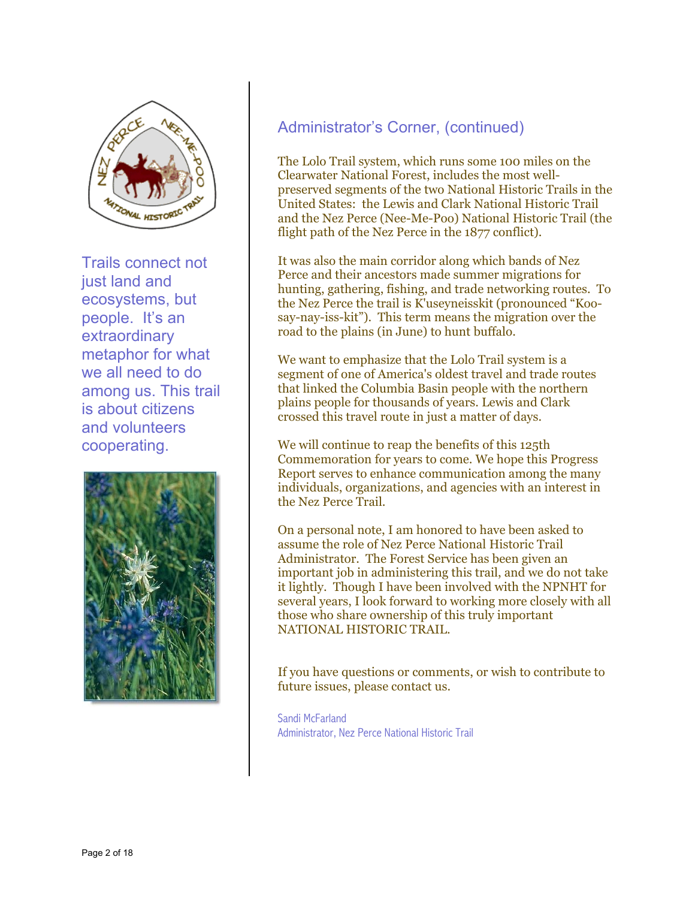

Trails connect not just land and ecosystems, but people. It's an extraordinary metaphor for what we all need to do among us. This trail is about citizens and volunteers cooperating.



#### Administrator's Corner, (continued)

The Lolo Trail system, which runs some 100 miles on the Clearwater National Forest, includes the most wellpreserved segments of the two National Historic Trails in the United States: the Lewis and Clark National Historic Trail and the Nez Perce (Nee-Me-Poo) National Historic Trail (the flight path of the Nez Perce in the 1877 conflict).

It was also the main corridor along which bands of Nez Perce and their ancestors made summer migrations for hunting, gathering, fishing, and trade networking routes. To the Nez Perce the trail is K'useyneisskit (pronounced "Koosay-nay-iss-kit"). This term means the migration over the road to the plains (in June) to hunt buffalo.

We want to emphasize that the Lolo Trail system is a segment of one of America's oldest travel and trade routes that linked the Columbia Basin people with the northern plains people for thousands of years. Lewis and Clark crossed this travel route in just a matter of days.

We will continue to reap the benefits of this 125th Commemoration for years to come. We hope this Progress Report serves to enhance communication among the many individuals, organizations, and agencies with an interest in the Nez Perce Trail.

On a personal note, I am honored to have been asked to assume the role of Nez Perce National Historic Trail Administrator. The Forest Service has been given an important job in administering this trail, and we do not take it lightly. Though I have been involved with the NPNHT for several years, I look forward to working more closely with all those who share ownership of this truly important NATIONAL HISTORIC TRAIL.

If you have questions or comments, or wish to contribute to future issues, please contact us.

Sandi McFarland Administrator, Nez Perce National Historic Trail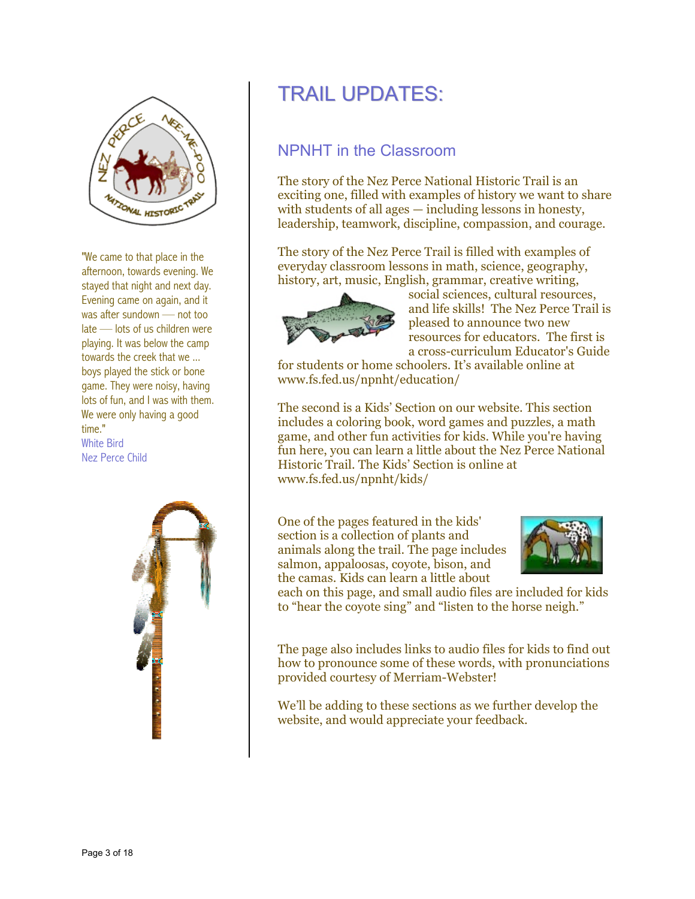

"We came to that place in the afternoon, towards evening. We stayed that night and next day. Evening came on again, and it was after sundown — not too late — lots of us children were playing. It was below the camp towards the creek that we ... boys played the stick or bone game. They were noisy, having lots of fun, and I was with them. We were only having a good time." White Bird Nez Perce Child



# TRAIL UPDATES:

### NPNHT in the Classroom

The story of the Nez Perce National Historic Trail is an exciting one, filled with examples of history we want to share with students of all ages — including lessons in honesty, leadership, teamwork, discipline, compassion, and courage.

The story of the Nez Perce Trail is filled with examples of everyday classroom lessons in math, science, geography, history, art, music, English, grammar, creative writing,



social sciences, cultural resources, and life skills! The Nez Perce Trail is pleased to announce two new resources for educators. The first is a cross-curriculum Educator's Guide

for students or home schoolers. It's available online at www.fs.fed.us/npnht/education/

The second is a Kids' Section on our website. This section includes a coloring book, word games and puzzles, a math game, and other fun activities for kids. While you're having fun here, you can learn a little about the Nez Perce National Historic Trail. The Kids' Section is online at www.fs.fed.us/npnht/kids/

One of the pages featured in the kids' section is a collection of plants and animals along the trail. The page includes salmon, appaloosas, coyote, bison, and the camas. Kids can learn a little about



each on this page, and small audio files are included for kids to "hear the coyote sing" and "listen to the horse neigh."

The page also includes links to audio files for kids to find out how to pronounce some of these words, with pronunciations provided courtesy of Merriam-Webster!

We'll be adding to these sections as we further develop the website, and would appreciate your feedback.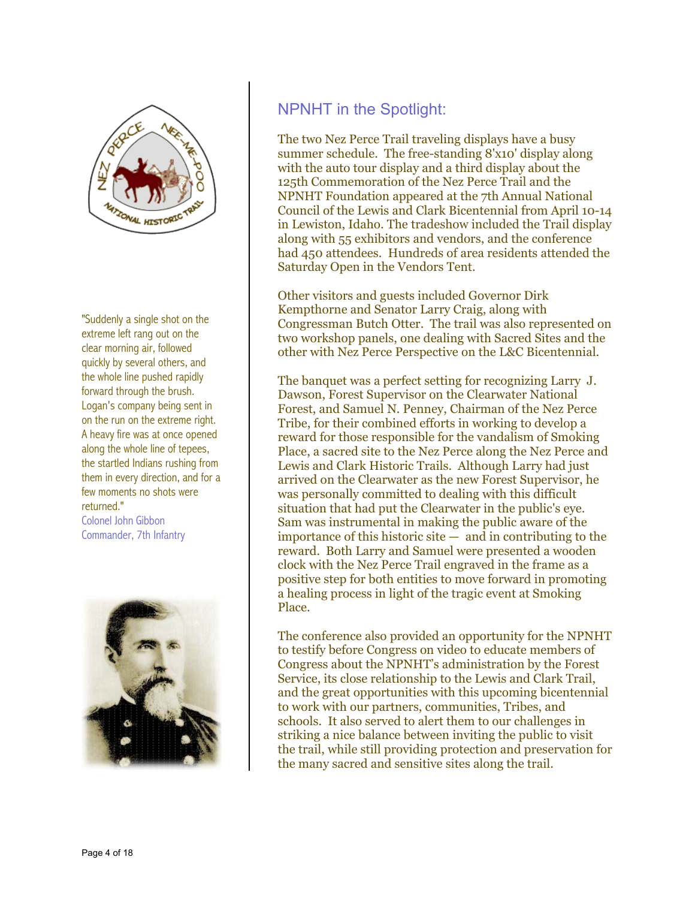

"Suddenly a single shot on the extreme left rang out on the clear morning air, followed quickly by several others, and the whole line pushed rapidly forward through the brush. Logan's company being sent in on the run on the extreme right. A heavy fire was at once opened along the whole line of tepees, the startled Indians rushing from them in every direction, and for a few moments no shots were returned." Colonel John Gibbon Commander, 7th Infantry



#### NPNHT in the Spotlight:

The two Nez Perce Trail traveling displays have a busy summer schedule. The free-standing 8'x10' display along with the auto tour display and a third display about the 125th Commemoration of the Nez Perce Trail and the NPNHT Foundation appeared at the 7th Annual National Council of the Lewis and Clark Bicentennial from April 10-14 in Lewiston, Idaho. The tradeshow included the Trail display along with 55 exhibitors and vendors, and the conference had 450 attendees. Hundreds of area residents attended the Saturday Open in the Vendors Tent.

Other visitors and guests included Governor Dirk Kempthorne and Senator Larry Craig, along with Congressman Butch Otter. The trail was also represented on two workshop panels, one dealing with Sacred Sites and the other with Nez Perce Perspective on the L&C Bicentennial.

The banquet was a perfect setting for recognizing Larry J. Dawson, Forest Supervisor on the Clearwater National Forest, and Samuel N. Penney, Chairman of the Nez Perce Tribe, for their combined efforts in working to develop a reward for those responsible for the vandalism of Smoking Place, a sacred site to the Nez Perce along the Nez Perce and Lewis and Clark Historic Trails. Although Larry had just arrived on the Clearwater as the new Forest Supervisor, he was personally committed to dealing with this difficult situation that had put the Clearwater in the public's eye. Sam was instrumental in making the public aware of the  $im$  importance of this historic site  $-$  and in contributing to the reward. Both Larry and Samuel were presented a wooden clock with the Nez Perce Trail engraved in the frame as a positive step for both entities to move forward in promoting a healing process in light of the tragic event at Smoking Place.

The conference also provided an opportunity for the NPNHT to testify before Congress on video to educate members of Congress about the NPNHT's administration by the Forest Service, its close relationship to the Lewis and Clark Trail, and the great opportunities with this upcoming bicentennial to work with our partners, communities, Tribes, and schools. It also served to alert them to our challenges in striking a nice balance between inviting the public to visit the trail, while still providing protection and preservation for the many sacred and sensitive sites along the trail.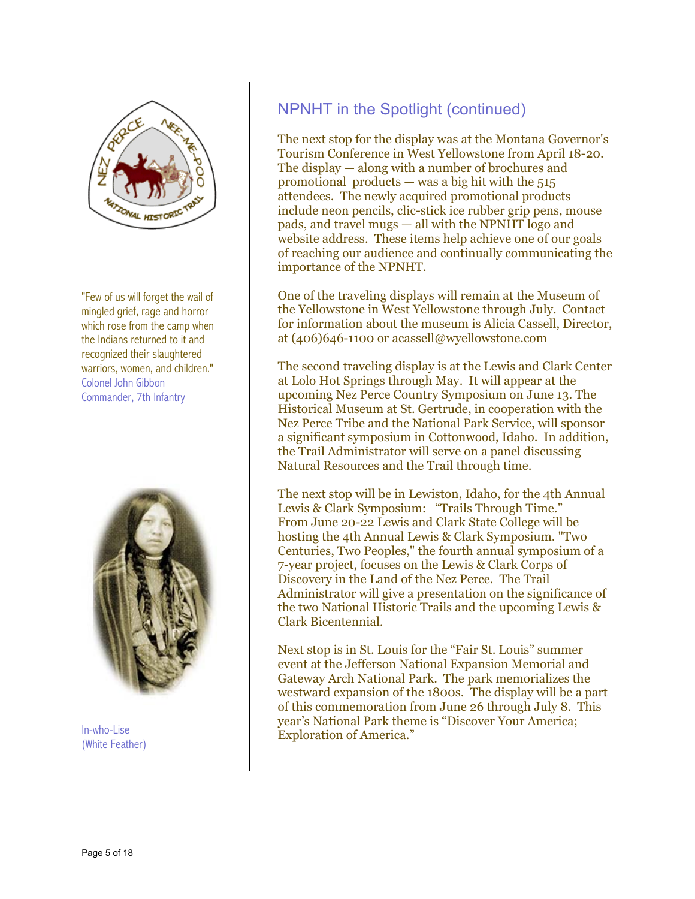

"Few of us will forget the wail of mingled grief, rage and horror which rose from the camp when the Indians returned to it and recognized their slaughtered Colonel John Gibbon Commander, 7th Infantry



(White Feather)

### NPNHT in the Spotlight (continued)

The next stop for the display was at the Montana Governor's Tourism Conference in West Yellowstone from April 18-20. The display — along with a number of brochures and promotional products — was a big hit with the  $515$ attendees. The newly acquired promotional products include neon pencils, clic-stick ice rubber grip pens, mouse pads, and travel mugs — all with the NPNHT logo and website address. These items help achieve one of our goals of reaching our audience and continually communicating the importance of the NPNHT.

One of the traveling displays will remain at the Museum of the Yellowstone in West Yellowstone through July. Contact for information about the museum is Alicia Cassell, Director, at (406)646-1100 or acassell@wyellowstone.com

warriors, women, and children." The second traveling display is at the Lewis and Clark Center at Lolo Hot Springs through May. It will appear at the upcoming Nez Perce Country Symposium on June 13. The Historical Museum at St. Gertrude, in cooperation with the Nez Perce Tribe and the National Park Service, will sponsor a significant symposium in Cottonwood, Idaho. In addition, the Trail Administrator will serve on a panel discussing Natural Resources and the Trail through time.

> The next stop will be in Lewiston, Idaho, for the 4th Annual Lewis & Clark Symposium: "Trails Through Time." From June 20-22 Lewis and Clark State College will be hosting the 4th Annual Lewis & Clark Symposium. "Two Centuries, Two Peoples," the fourth annual symposium of a 7-year project, focuses on the Lewis & Clark Corps of Discovery in the Land of the Nez Perce. The Trail Administrator will give a presentation on the significance of the two National Historic Trails and the upcoming Lewis & Clark Bicentennial.

Next stop is in St. Louis for the "Fair St. Louis" summer event at the Jefferson National Expansion Memorial and Gateway Arch National Park. The park memorializes the westward expansion of the 1800s. The display will be a part of this commemoration from June 26 through July 8. This year's National Park theme is "Discover Your America; Exploration of America." In-who-Lise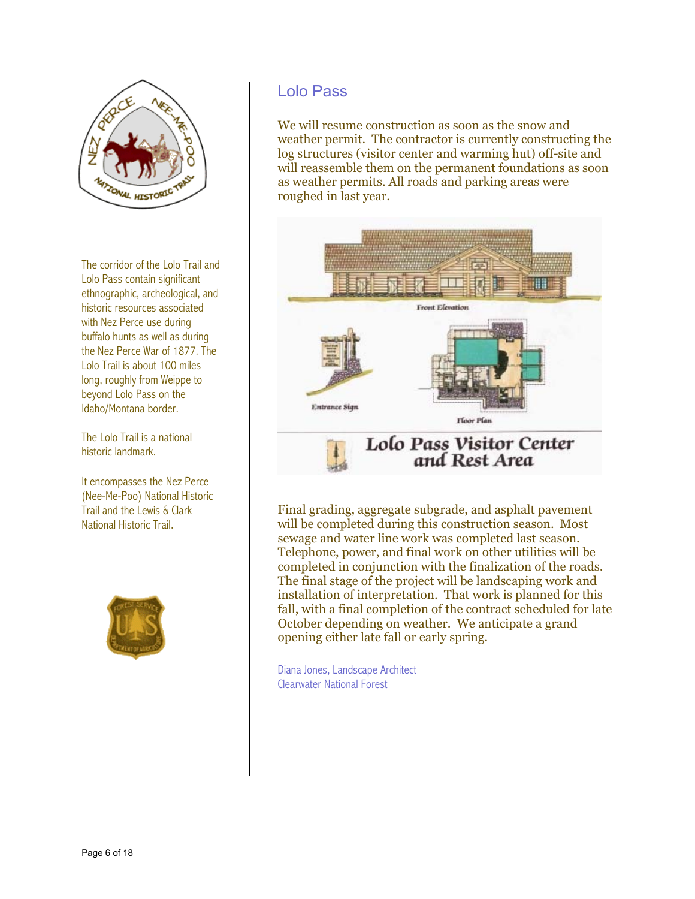

The corridor of the Lolo Trail and Lolo Pass contain significant ethnographic, archeological, and historic resources associated with Nez Perce use during buffalo hunts as well as during the Nez Perce War of 1877. The Lolo Trail is about 100 miles long, roughly from Weippe to beyond Lolo Pass on the Idaho/Montana border.

The Lolo Trail is a national historic landmark.

It encompasses the Nez Perce (Nee-Me-Poo) National Historic Trail and the Lewis & Clark National Historic Trail.



#### Lolo Pass

We will resume construction as soon as the snow and weather permit. The contractor is currently constructing the log structures (visitor center and warming hut) off-site and will reassemble them on the permanent foundations as soon as weather permits. All roads and parking areas were roughed in last year.



Final grading, aggregate subgrade, and asphalt pavement will be completed during this construction season. Most completed in conjunction with the finalization of the roads. fall, with a final completion of the contract scheduled for late sewage and water line work was completed last season. Telephone, power, and final work on other utilities will be The final stage of the project will be landscaping work and installation of interpretation. That work is planned for this October depending on weather. We anticipate a grand opening either late fall or early spring.

Clearwater National Forest Diana Jones, Landscape Architect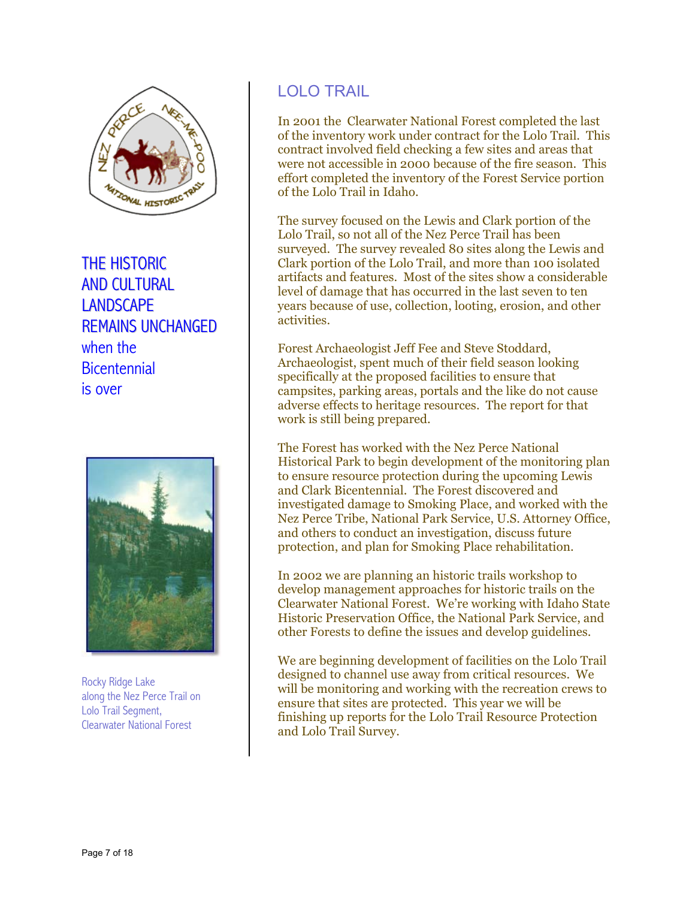

THE HISTORIC AND CULTURAL **LANDSCAPE** REMAINS UNCHANGED when the **Bicentennial** is over



Rocky Ridge Lake along the Nez Perce Trail on Lolo Trail Segment,

#### LOLO TRAIL

n 2001 the Clearwater National Forest completed the last I were not accessible in 2000 because of the fire season. This of the inventory work under contract for the Lolo Trail. This contract involved field checking a few sites and areas that effort completed the inventory of the Forest Service portion of the Lolo Trail in Idaho.

The survey focused on the Lewis and Clark portion of the surveyed. The survey revealed 80 sites along the Lewis and years because of use, collection, looting, erosion, and other Lolo Trail, so not all of the Nez Perce Trail has been Clark portion of the Lolo Trail, and more than 100 isolated artifacts and features. Most of the sites show a considerable level of damage that has occurred in the last seven to ten activities.

Forest Archaeologist Jeff Fee and Steve Stoddard, Archaeologist, spent much of their field season looking campsites, parking areas, portals and the like do not cause specifically at the proposed facilities to ensure that adverse effects to heritage resources. The report for that work is still being prepared.

The Forest has worked with the Nez Perce National Historical Park to begin development of the monitoring plan investigated damage to Smoking Place, and worked with the to ensure resource protection during the upcoming Lewis and Clark Bicentennial. The Forest discovered and Nez Perce Tribe, National Park Service, U.S. Attorney Office, and others to conduct an investigation, discuss future protection, and plan for Smoking Place rehabilitation.

n 2002 we are planning an historic trails workshop to I develop management approaches for historic trails on the Clearwater National Forest. We're working with Idaho State Historic Preservation Office, the National Park Service, and other Forests to define the issues and develop guidelines.

We are beginning development of facilities on the Lolo Trail will be monitoring and working with the recreation crews to finishing up reports for the Lolo Trail Resource Protection designed to channel use away from critical resources. We ensure that sites are protected. This year we will be and Lolo Trail Survey.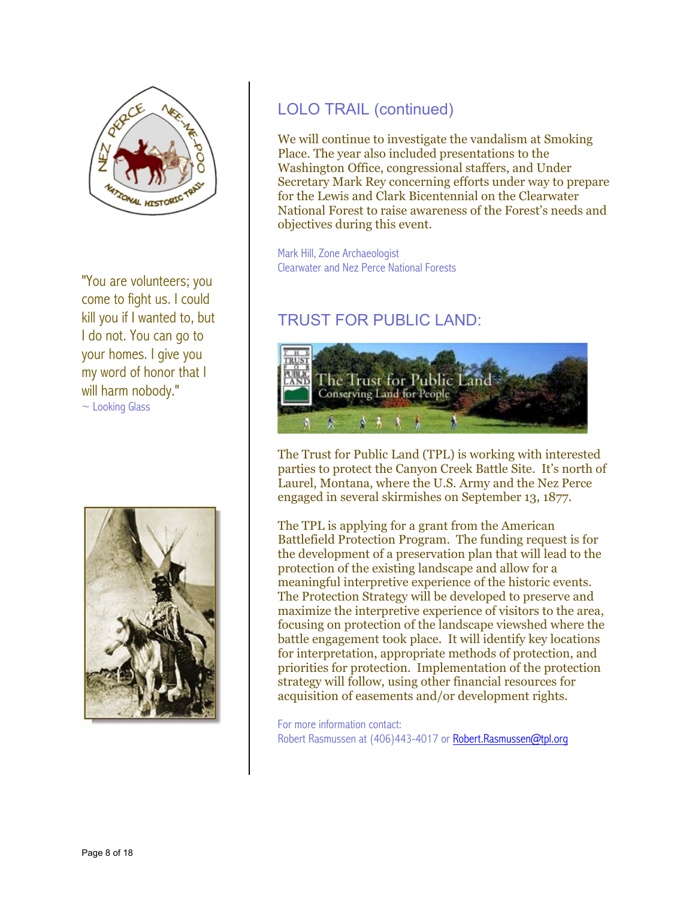

"You are volunteers; you come to fight us. I could kill you if I wanted to, but I do not. You can go to your homes. I give you my word of honor that I will harm nobody."  $\sim$  Looking Glass



### LOLO TRAIL (continued)

We will continue to investigate the vandalism at Smoking Place. The year also included presentations to the Washington Office, congressional staffers, and Under Secretary Mark Rey concerning efforts under way to prepare for the Lewis and Clark Bicentennial on the Clearwater National Forest to raise awareness of the Forest's needs and objectives during this event.

Mark Hill, Zone Archaeologist Clearwater and Nez Perce National Forests

## TRUST FOR PUBLIC LAND:



The Trust for Public Land (TPL) is working with interested parties to protect the Canyon Creek Battle Site. It's north of Laurel, Montana, where the U.S. Army and the Nez Perce engaged in several skirmishes on September 13, 1877.

The TPL is applying for a grant from the American Battlefield Protection Program. The funding request is for the development of a preservation plan that will lead to the protection of the existing landscape and allow for a meaningful interpretive experience of the historic events. The Protection Strategy will be developed to preserve and maximize the interpretive experience of visitors to the area, focusing on protection of the landscape viewshed where the battle engagement took place. It will identify key locations for interpretation, appropriate methods of protection, and priorities for protection. Implementation of the protection strategy will follow, using other financial resources for acquisition of easements and/or development rights.

For more information contact: Robert Rasmussen at (406)443-4017 or [Robert.Rasmussen@tpl.org](mailto:Robert.Rasmussen@tpl.org)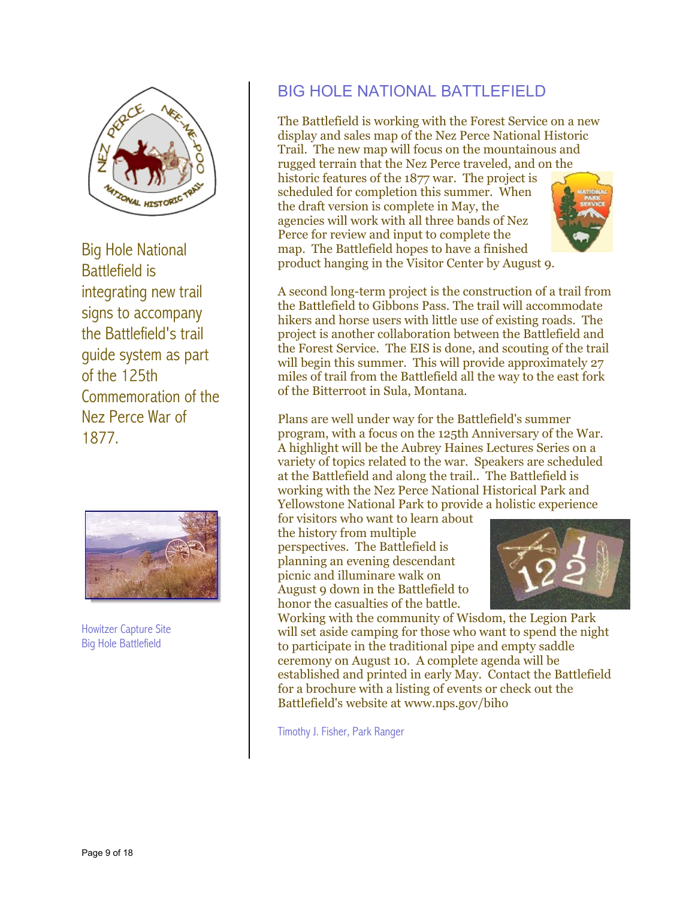

Big Hole National Battlefield is integrating new trail signs to accompany the Battlefield's trail guide system as part of the 125th Commemoration of the Nez Perce War of 1877.



Big Hole Battlefield

### BIG HOLE NATIONAL BATTLEFIELD

rugged terrain that the Nez Perce traveled, and on the historic features of the 1877 war. The project is agencies will work with all three bands of Nez The Battlefield is working with the Forest Service on a new display and sales map of the Nez Perce National Historic Trail. The new map will focus on the mountainous and scheduled for completion this summer. When the draft version is complete in May, the Perce for review and input to complete the map. The Battlefield hopes to have a finished product hanging in the Visitor Center by August 9.

A second long-term project is the construction of a trail from the Battlefield to Gibbons Pass. The trail will accommodate hikers and horse users with little use of existing roads. The project is another collaboration between the Battlefield and the Forest Service. The EIS is done, and scouting of the trail will begin this summer. This will provide approximately 27 miles of trail from the Battlefield all the way to the east fork of the Bitterroot in Sula, Montana.

Plans are well under way for the Battlefield's summer program, with a focus on the 125th Anniversary of the War. A highlight will be the Aubrey Haines Lectures Series on a variety of topics related to the war. Speakers are scheduled at the Battlefield and along the trail.. The Battlefield is working with the Nez Perce National Historical Park and Yellowstone National Park to provide a holistic experience

August 9 down in the Battlefield to for visitors who want to learn about the history from multiple perspectives. The Battlefield is planning an evening descendant picnic and illuminare walk on honor the casualties of the battle.



It is a working with the community of Wisdom, the Legion Park<br>
Working with the community of Wisdom, the Legion Park<br>
Working with the community of Wisdom, the Legion Park will set aside camping for those who want to spend the night established and printed in early May. Contact the Battlefield to participate in the traditional pipe and empty saddle ceremony on August 10. A complete agenda will be for a brochure with a listing of events or check out the Battlefield's website at www.nps.gov/biho

Timothy J. Fisher, Park Ranger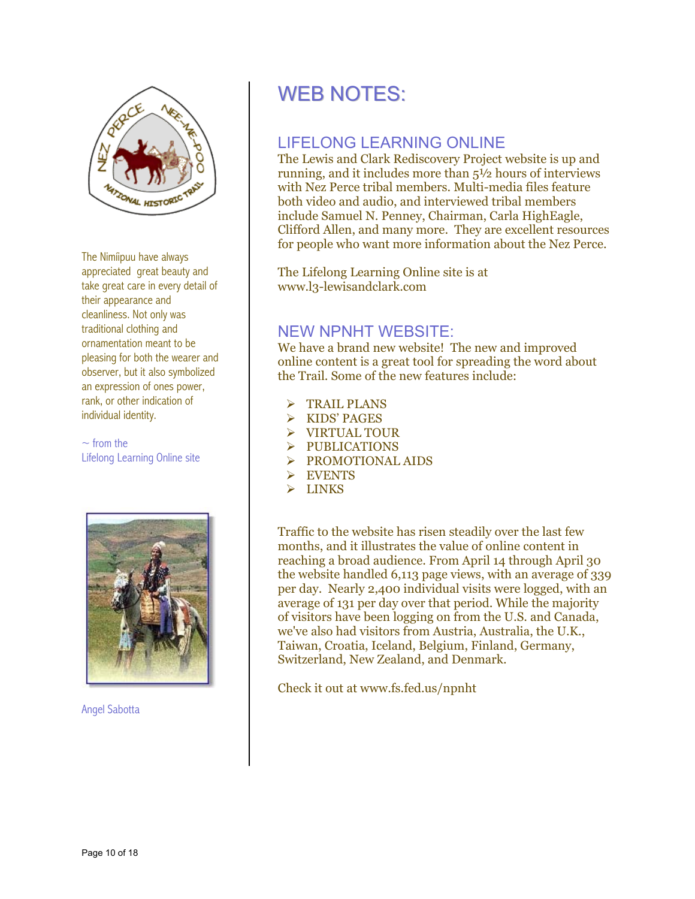

The Nimíipuu have always appreciated great beauty and take great care in every detail of their appearance and cleanliness. Not only was traditional clothing and ornamentation meant to be pleasing for both the wearer and observer, but it also symbolized an expression of ones power, rank, or other indication of individual identity.

 $\sim$  from the  $\rightarrow$  PUBLICATIONS<br>Lifelong Learning Online site



Angel Sabotta

# WEB NOTES:

### LIFELONG LEARNING ONLINE

The Lewis and Clark Rediscovery Project website is up and running, and it includes more than 5½ hours of interviews with Nez Perce tribal members. Multi-media files feature both video and audio, and interviewed tribal members include Samuel N. Penney, Chairman, Carla HighEagle, Clifford Allen, and many more. They are excellent resources for people who want more information about the Nez Perce.

The Lifelong Learning Online site is at www.l3-lewisandclark.com

#### NEW NPNHT WEBSITE:

We have a brand new website! The new and improved online content is a great tool for spreading the word about the Trail. Some of the new features include:

- **TRAIL PLANS**
- ¾ KIDS' PAGES
- ¾ VIRTUAL TOUR
- 
- $\triangleright$  PROMOTIONAL AIDS
- $\triangleright$  EVENTS
- $\triangleright$  LINKS

Traffic to the website has risen steadily over the last few months, and it illustrates the value of online content in reaching a broad audience. From April 14 through April 30 the website handled 6,113 page views, with an average of 339 per day. Nearly 2,400 individual visits were logged, with an average of 131 per day over that period. While the majority of visitors have been logging on from the U.S. and Canada, we've also had visitors from Austria, Australia, the U.K., Taiwan, Croatia, Iceland, Belgium, Finland, Germany, Switzerland, New Zealand, and Denmark.

Check it out at www.fs.fed.us/npnht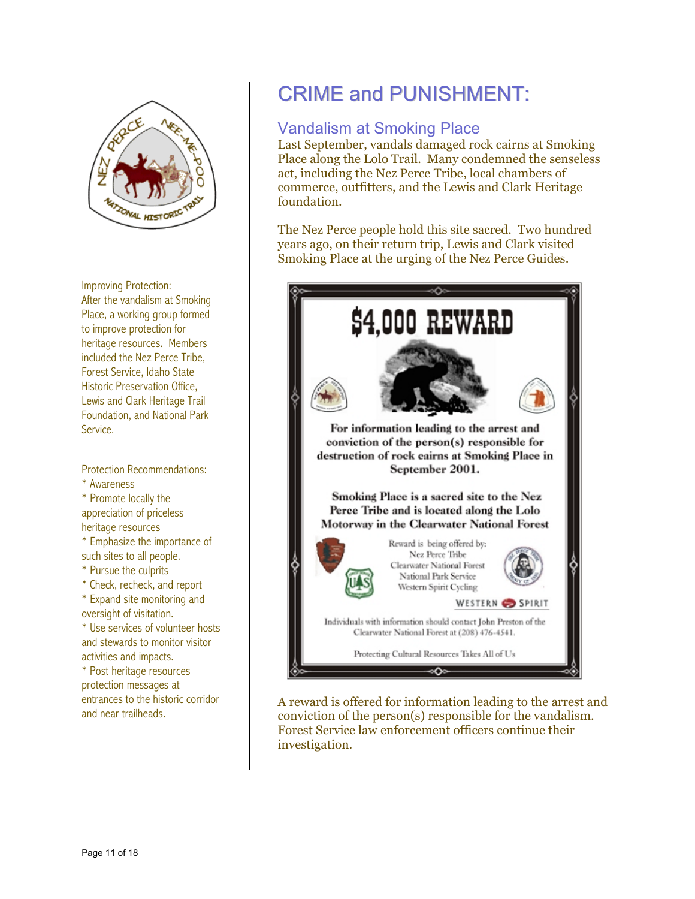

Improving Protection: After the vandalism at Smoking Place, a working group formed to improve protection for heritage resources. Members included the Nez Perce Tribe, Forest Service, Idaho State Historic Preservation Office, Lewis and Clark Heritage Trail Foundation, and National Park Service.

Protection Recommendations: \* Awareness \* Promote locally the appreciation of priceless heritage resources \* Emphasize the importance of such sites to all people. \* Pursue the culprits \* Check, recheck, and report \* Expand site monitoring and oversight of visitation. \* Use services of volunteer hosts and stewards to monitor visitor activities and impacts. \* Post heritage resources protection messages at

entrances to the historic corridor<br>and near trailheads.  $\begin{array}{ccc} & A \ \text{c} & C \end{array}$ 

# CRIME and PUNISHMENT:

#### Vandalism at Smoking Place

Last September, vandals damaged rock cairns at Smoking Place along the Lolo Trail. Many condemned the senseless act, including the Nez Perce Tribe, local chambers of commerce, outfitters, and the Lewis and Clark Heritage foundation.

The Nez Perce people hold this site sacred. Two hundred years ago, on their return trip, Lewis and Clark visited Smoking Place at the urging of the Nez Perce Guides.



A reward is offered for information leading to the arrest and conviction of the person(s) responsible for the vandalism. Forest Service law enforcement officers continue their investigation.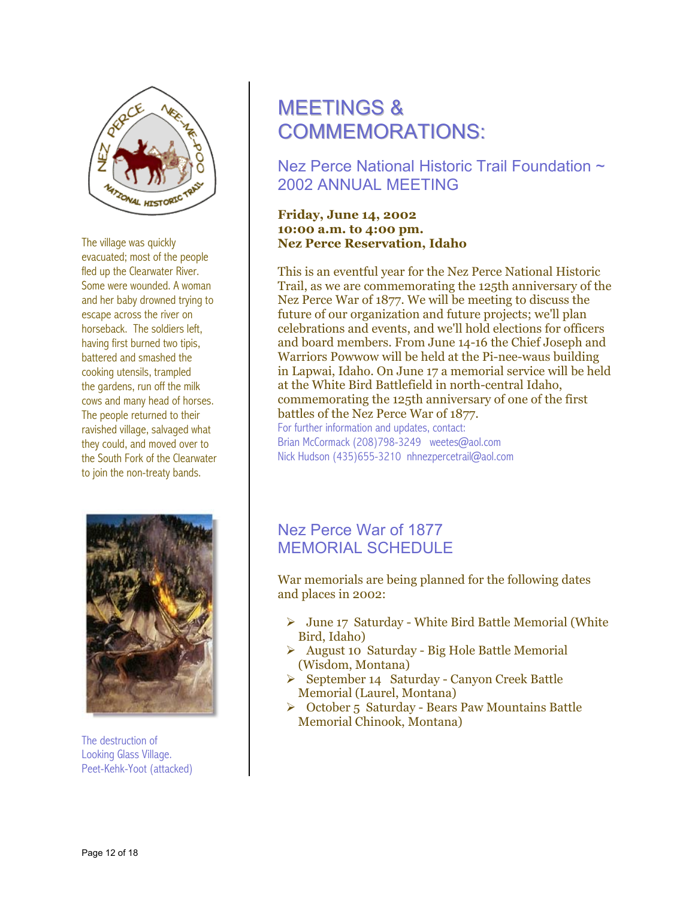

The village was quickly evacuated; most of the people . cows and many head of horses ravished village, salvaged what fled up the Clearwater River. Some were wounded. A woman and her baby drowned trying to escape across the river on horseback. The soldiers left, having first burned two tipis, battered and smashed the cooking utensils, trampled the gardens, run off the milk The people returned to their they could, and moved over to the South Fork of the Clearwater to join the non-treaty bands.



he destruction of T . Looking Glass Village Peet-Kehk-Yoot (attacked)

# MEETINGS & COMMEMORATIONS:

Nez Perce National Historic Trail Foundation  $\sim$ 2002 ANNUAL MEETING

#### 10:00 a.m. to 4:00 pm. **, Idaho Nez Perce Reservation Friday, June 14, 2002**

This is an eventful year for the Nez Perce National Historic Trail, as we are commemorating the 125th anniversary of the celebrations and events, and we'll hold elections for officers and board members. From June 14-16 the Chief Joseph and Nez Perce War of 1877. We will be meeting to discuss the future of our organization and future projects; we'll plan Warriors Powwow will be held at the Pi-nee-waus building in Lapwai, Idaho. On June 17 a memorial service will be held at the White Bird Battlefield in north-central Idaho, commemorating the 125th anniversary of one of the first battles of the Nez Perce War of 1877. For further information and updates, contact:

Brian McCormack (208)798-3249 weetes@aol.com Nick Hudson (435)655-3210 nhnezpercetrail@aol.com

#### Nez Perce War of 1877 MEMORIAL SCHEDULE

War memorials are being planned for the following dates and places in 2002:

- $\triangleright$  June 17 Saturday White Bird Battle Memorial (White Bird, Idaho)
- (Wisdom, Montana) ¾ August 10 Saturday - Big Hole Battle Memorial
- Memorial (Laurel, Montana) ¾ September 14 Saturday - Canyon Creek Battle
- ≻ October 5 Saturday Bears Paw Mountains Battle Memorial Chinook, Montana)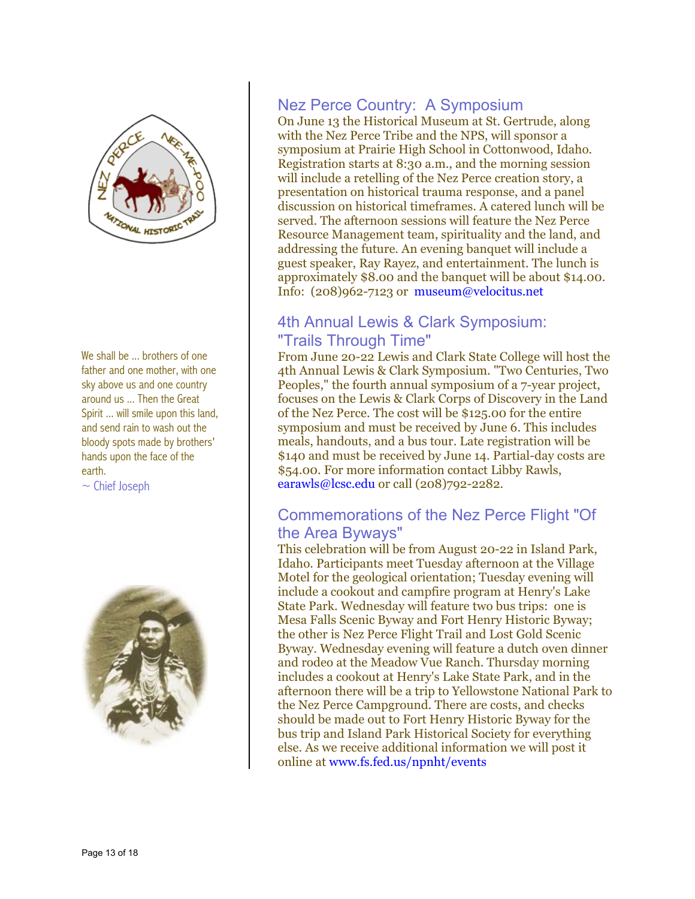

We shall be ... brothers of one father and one mother, with one Spirit ... will smile upon this land, sky above us and one country around us ... Then the Great and send rain to wash out the bloody spots made by brothers' hands upon the face of the earth.

 $\sim$  Chief Joseph



#### Nez Perce Country: A Symposium

On June 13 the Historical Museum at St. Gertrude, along with the Nez Perce Tribe and the NPS, will sponsor a symposium at Prairie High School in Cottonwood, Idaho. Registration starts at 8:30 a.m., and the morning session will include a retelling of the Nez Perce creation story, a presentation on historical trauma response, and a panel discussion on historical timeframes. A catered lunch will be served. The afternoon sessions will feature the Nez Perce Resource Management team, spirituality and the land, and ddressing the future. An evening banquet will include a a guest speaker, Ray Rayez, and entertainment. The lunch is approximately  $$8.00$  and the banquet will be about  $$14.00$ . Info: (208)962-7123 or museum@velocitus.net

#### 4th Annual Lewis & Clark Symposium: "Trails Through Time"

From June 20-22 Lewis and Clark State College will host the 4th Annual Lewis & Clark Symposium. "Two Centuries, Two focuses on the Lewis & Clark Corps of Discovery in the Land \$54.00. For more information contact Libby Rawls, earawls@lcsc.edu or call (208)792-2282. Peoples," the fourth annual symposium of a 7-year project, of the Nez Perce. The cost will be \$125.00 for the entire symposium and must be received by June 6. This includes meals, handouts, and a bus tour. Late registration will be \$140 and must be received by June 14. Partial-day costs are

#### Commemorations of the Nez Perce Flight "Of the Area Byways"

Byway. Wednesday evening will feature a dutch oven dinner and rodeo at the Meadow Vue Ranch. Thursday morning includes a cookout at Henry's Lake State Park, and in the afternoon there will be a trip to Yellowstone National Park to the Nez Perce Campground. There are costs, and checks should be made out to Fort Henry Historic Byway for the This celebration will be from August 20-22 in Island Park, Idaho. Participants meet Tuesday afternoon at the Village Motel for the geological orientation; Tuesday evening will include a cookout and campfire program at Henry's Lake State Park. Wednesday will feature two bus trips: one is Mesa Falls Scenic Byway and Fort Henry Historic Byway; the other is Nez Perce Flight Trail and Lost Gold Scenic bus trip and Island Park Historical Society for everything else. As we receive additional information we will post it online at www.fs.fed.us/npnht/events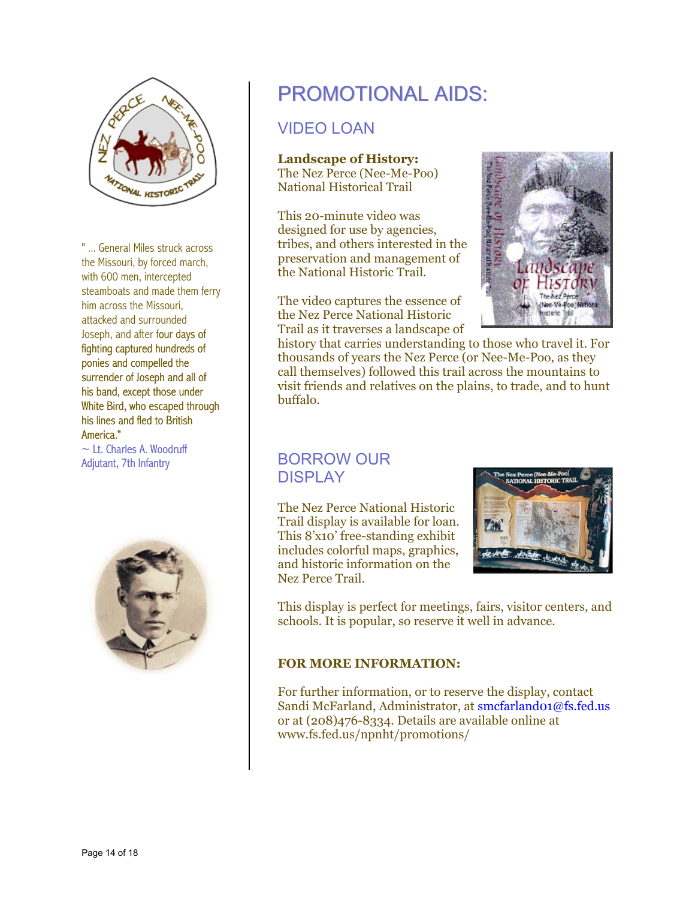

" ... General Miles struck acro the Missouri, by forced ma with 600 men, intercepted steamboats and made them ferry him across the Missouri, attacked and surrounded Joseph, and after four days of fighting captured hundreds of ponies and compelled the surrender of Joseph and all of his band, except those unde r White Bird, who escaped throu gh his lines and fled to British America." struck across<br>rced march,<br>rcepted<br>ade them fer<br>ssouri,<br>uunded<br>our days of rch,

 $\sim$  Lt. Charles A. Woodruff Adjutant, 7th Infantry



# PROMOTIONA L AIDS:

### VIDEO LOAN

#### **Landscape of History:**

The Nez Perce (Nee-Me-Poo) National Historical Trail

This 20-minute video was designed for use by agencies, tribes, and others interested in the preservation and management of the National Historic Trail.

The video captures the essence of the Nez Perce National Historic Trail as it traverses a landscape of



history that carries understanding to those who travel it. For thousands of years the Nez Perce (or Nee-Me-Poo, as they call themselves) followed this trail across the mountains to visit friends and relatives on the plains, to trade, and to hunt buffalo.

#### BORROW OUR DISPI AY

The Nez Perce National Historic Trail display is available for loan. and historic information on the Nez Perce Trail. This 8'x10' free-standing exhibit includes colorful maps, graphics,



This display is perfect for meetings, fairs, visitor centers, and schools. It is popular, so reserve it w ell in advance.

#### **FOR MORE INFORMATION:**

For further information, or to reserve the display, contact Sandi McFarland, Administrator, at smcfarland01@fs.fed.us or at  $(208)476 - 8334$ . Details are available online at ww.fs.fed.us/npnht/promotions/ w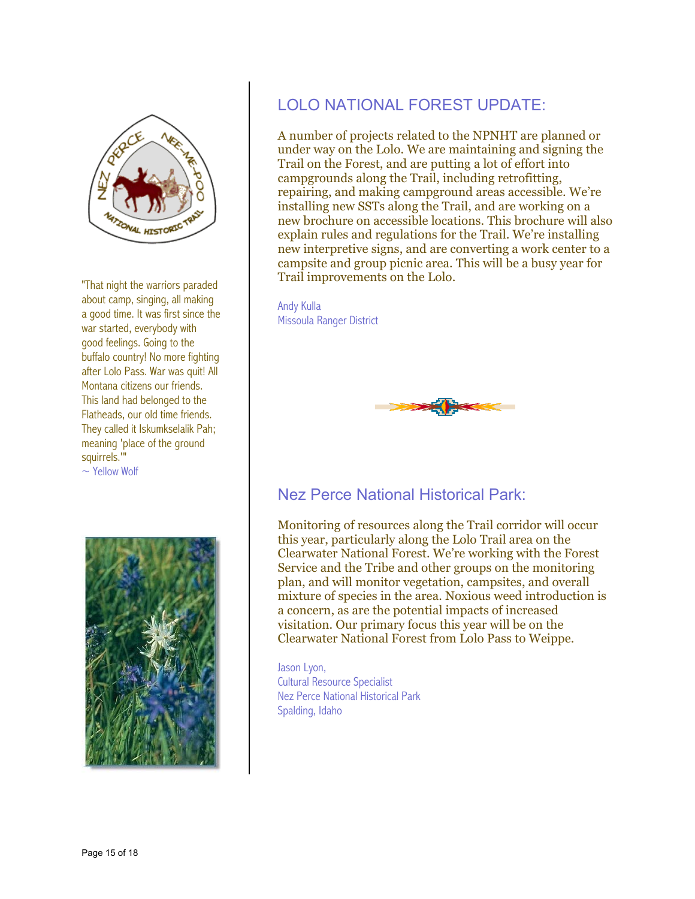

"That night the warriors parade d about camp, singing, all ma king a good time. It was first since the war started, everybody with good feelings. Going to the buffalo country! No more fighting after Lolo Pass. War was quit! All They called it Iskumkselalik Pah; meaning 'place of the ground squirrels.'" Montana citizens our friends. This land had belonged to the Flatheads, our old time friends.

 $\sim$  Yellow Wolf



## LOLO NATIONAL FOREST UPDATE:

A number of projects related to the NPNHT are planned or repairing, and making campground areas accessible. We're installing new SSTs along the Trail, and are working on a new brochure on accessible locations. This brochure will also xplain rules and regulations for the Trail. We're installing e new interpretive signs, and are converting a work center to a ampsite and group picnic area. This will be a busy year for c Trail improvements on the Lolo. under way on the Lolo. We are maintaining and signing the Trail on the Forest, and are putting a lot of effort into campgrounds along the Trail, including retrofitting,

#### Andy Kulla

Missoula Ranger District



#### Nez Perce National Historical Park:

Monitoring of resources along the Trail corridor will occur this year, particularly along the Lolo Trail area on the plan, and will monitor vegetation, campsites, and overall mixture of species in the area. Noxious weed introduction is Clearwater National Forest. We're working with the Forest Service and the Tribe and other groups on the monitoring a concern, as are the potential impacts of increased visitation. Our primary focus this year will be on the Clearwater National Forest from Lolo Pass to Weippe.

Spalding, Idaho Jason Lyon, Cultural Resource Specialist Nez Perce National Historical Park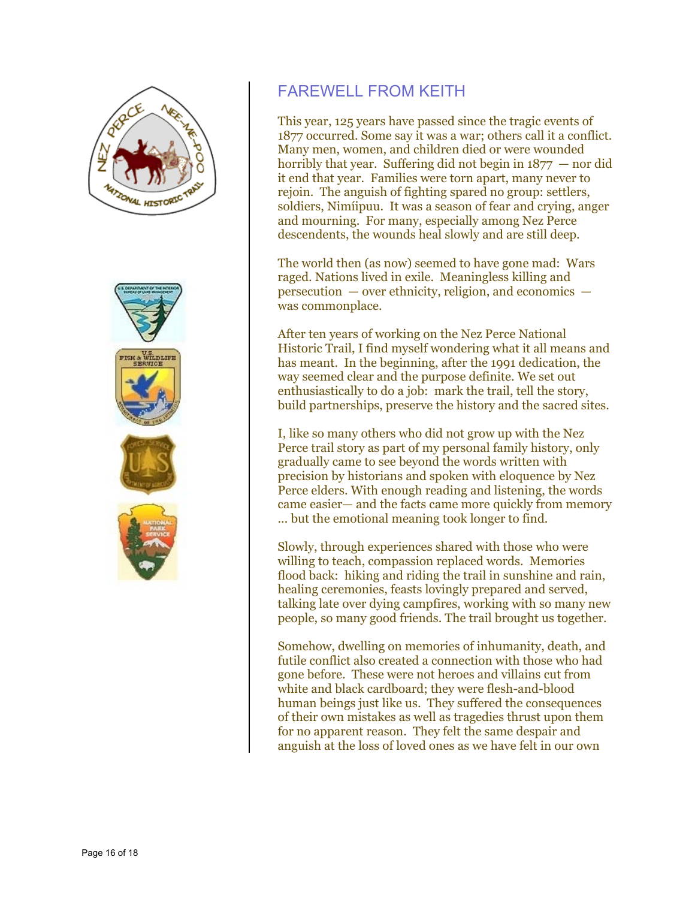



### FAREWE LL FROM KEITH

This year, 125 years have passed since the tragic events of 1877 occurred. Some say it was a war; others call it a conflict. Many men, women, and children died or were wounded horribly that year. Suffering did not begin in  $1877 -$  nor did it end that year. Families were torn apart, many never to rejoin. The anguish of fighting spared no group: settlers, soldiers, Nimíipuu. It was a season of fear and crying, anger and mourning. For many, especially among Nez Perce descendents, the wounds heal slowly and are still deep.

The world then (as now) seemed to have gone mad: Wars  $p$ ersecution  $\boldsymbol{\theta}$  – over ethnicity, religion, and economics – was commonplace. raged. Nations lived in exile. Meaningless killing and

After ten years of working on the Nez Perce National Historic Trail, I find myself wondering what it all means and has meant. In the beginning, after the 1991 dedication, the way seemed clear and the purpose definite. We set out enthusiastically to do a job: mark the trail, tell the story, build partnerships, preserve the history and the sacred sites.

Perce trail story as part of my personal family history, only came easier— and the facts came more quickly from memory ... but the emotional meaning took longer to find. I, like so many others who did not grow up with the Nez gradually came to see beyond the words written with precision by historians and spoken with eloquence by Nez Perce elders. With enough reading and listening, the words

willing to teach, compassion replaced words. Memories flood back: hiking and riding the trail in sunshine and rain, healing ceremonies, feasts lovingly prepared and served, talking late over dying campfires, working with so many new people, so many good friends. The trail brought us together. Slowly, through experiences shared with those who were

futile conflict also created a connection with those who had human beings just like us. They suffered the consequences of their own mistakes as well as tragedies thrust upon them anguish at the loss of loved ones as we have felt in our own Somehow, dwelling on memories of inhumanity, death, and gone before. These were not heroes and villains cut from white and black cardboard; they were flesh-and-blood for no apparent reason. They felt the same despair and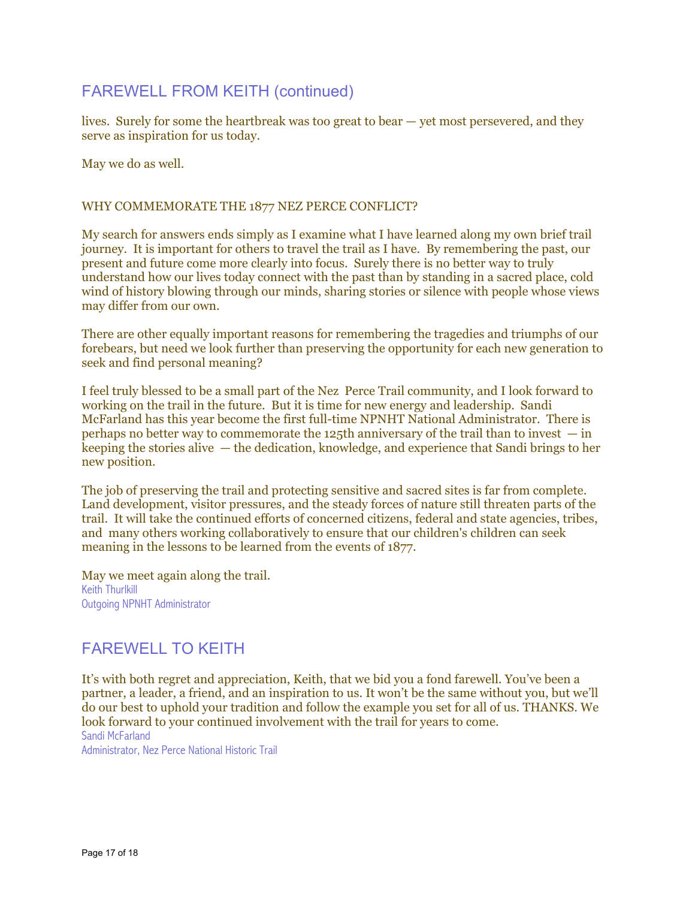#### FAREWELL FR OM KEITH (continued)

lives. Surely for som e the heartbrea k was too great to bear — yet most persevered, and they serve as inspiration for us today.

May we do as well.

#### WHY COMMEMORATE THE 1877 NEZ PERCE CONFLICT?

My search for answers ends simply as I examine what I have learned along my own brief trail journey. It is important for others to travel the trail as I have. By remembering the past, our present and future come more clearly into focus. Surely there is no better way to truly understand how our lives today connect with the past than by standing in a sacred place, cold wind of history blowing through our minds, sharing stories or silence with people whose views may differ from our own.

There are other equally important reasons for remembering the tragedies and triumphs of our forebears, but need we look further than preserving the opportunity for each new generation to seek and find personal meaning?

feel truly blessed to be a small part of the Nez Perce Trail community, and I look forward to I working on the trail in the future. But it is time for new energy and leadership. Sandi McFarland has this year become the first full-time NPNHT National Administrator. There is keeping the stories alive — the dedication, knowledge, and experience that Sandi brings to her perhaps no better way to commemorate the 125th anniversary of the trail than to invest  $-$  in new position.

Land development, visitor pressures, and the steady forces of nature still threaten parts of the trail. It will take the continued efforts of concerned citizens, federal and state agencies, tribes, The job of preserving the trail and protecting sensitive and sacred sites is far from complete. and many others working collaboratively to ensure that our children's children can seek meaning in the lessons to be learned from the events of 1877.

May we meet again along the trail. Keith Thurlkill Outgoing NPNHT Administrator

#### FAREWELL TO KEITH

It's with both regret and appreciation, Keith, that we bid you a fond farewell. You've been a l partner, a leader, a friend, and an inspiration to us. It won't be the same without you, but we'l do our best to uphold your tradition and follow the example you set for all of us. THANKS. We look forward to your continued involvement with the trail for years to come. Sandi McFarland

Administrator, Nez Perce National Historic Trail